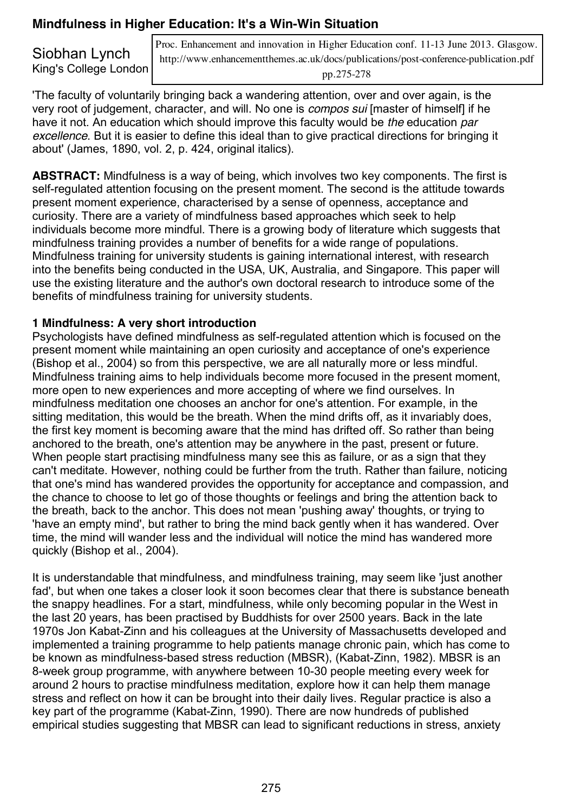## **Mindfulness in Higher Education: It's a Win-Win Situation**

Siobhan Lynch King's College London Proc. Enhancement and innovation in Higher Education conf. 11-13 June 2013. Glasgow. http://www.enhancementthemes.ac.uk/docs/publications/post-conference-publication.pdf pp.275-278

'The faculty of voluntarily bringing back a wandering attention, over and over again, is the very root of judgement, character, and will. No one is *compos sui* [master of himself] if he have it not. An education which should improve this faculty would be *the* education *par excellence*. But it is easier to define this ideal than to give practical directions for bringing it about' (James, 1890, vol. 2, p. 424, original italics).

**ABSTRACT:** Mindfulness is a way of being, which involves two key components. The first is self-regulated attention focusing on the present moment. The second is the attitude towards present moment experience, characterised by a sense of openness, acceptance and curiosity. There are a variety of mindfulness based approaches which seek to help individuals become more mindful. There is a growing body of literature which suggests that mindfulness training provides a number of benefits for a wide range of populations. Mindfulness training for university students is gaining international interest, with research into the benefits being conducted in the USA, UK, Australia, and Singapore. This paper will use the existing literature and the author's own doctoral research to introduce some of the benefits of mindfulness training for university students.

#### **1 Mindfulness: A very short introduction**

Psychologists have defined mindfulness as self-regulated attention which is focused on the present moment while maintaining an open curiosity and acceptance of one's experience (Bishop et al., 2004) so from this perspective, we are all naturally more or less mindful. Mindfulness training aims to help individuals become more focused in the present moment, more open to new experiences and more accepting of where we find ourselves. In mindfulness meditation one chooses an anchor for one's attention. For example, in the sitting meditation, this would be the breath. When the mind drifts off, as it invariably does, the first key moment is becoming aware that the mind has drifted off. So rather than being anchored to the breath, one's attention may be anywhere in the past, present or future. When people start practising mindfulness many see this as failure, or as a sign that they can't meditate. However, nothing could be further from the truth. Rather than failure, noticing that one's mind has wandered provides the opportunity for acceptance and compassion, and the chance to choose to let go of those thoughts or feelings and bring the attention back to the breath, back to the anchor. This does not mean 'pushing away' thoughts, or trying to 'have an empty mind', but rather to bring the mind back gently when it has wandered. Over time, the mind will wander less and the individual will notice the mind has wandered more quickly (Bishop et al., 2004).

It is understandable that mindfulness, and mindfulness training, may seem like 'just another fad', but when one takes a closer look it soon becomes clear that there is substance beneath the snappy headlines. For a start, mindfulness, while only becoming popular in the West in the last 20 years, has been practised by Buddhists for over 2500 years. Back in the late 1970s Jon Kabat-Zinn and his colleagues at the University of Massachusetts developed and implemented a training programme to help patients manage chronic pain, which has come to be known as mindfulness-based stress reduction (MBSR), (Kabat-Zinn, 1982). MBSR is an 8-week group programme, with anywhere between 10-30 people meeting every week for around 2 hours to practise mindfulness meditation, explore how it can help them manage stress and reflect on how it can be brought into their daily lives. Regular practice is also a key part of the programme (Kabat-Zinn, 1990). There are now hundreds of published empirical studies suggesting that MBSR can lead to significant reductions in stress, anxiety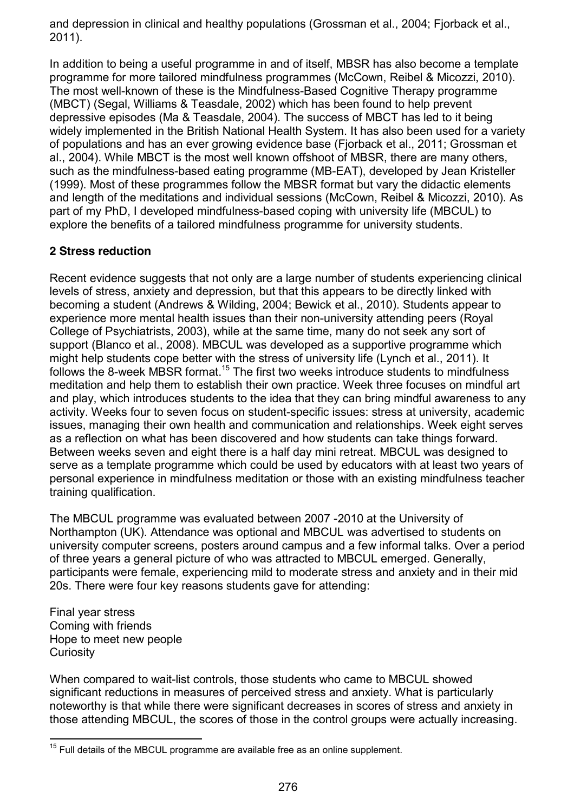and depression in clinical and healthy populations (Grossman et al., 2004; Fjorback et al., 2011).

In addition to being a useful programme in and of itself, MBSR has also become a template programme for more tailored mindfulness programmes (McCown, Reibel & Micozzi, 2010). The most well-known of these is the Mindfulness-Based Cognitive Therapy programme (MBCT) (Segal, Williams & Teasdale, 2002) which has been found to help prevent depressive episodes (Ma & Teasdale, 2004). The success of MBCT has led to it being widely implemented in the British National Health System. It has also been used for a variety of populations and has an ever growing evidence base (Fjorback et al., 2011; Grossman et al., 2004). While MBCT is the most well known offshoot of MBSR, there are many others, such as the mindfulness-based eating programme (MB-EAT), developed by Jean Kristeller (1999). Most of these programmes follow the MBSR format but vary the didactic elements and length of the meditations and individual sessions (McCown, Reibel & Micozzi, 2010). As part of my PhD, I developed mindfulness-based coping with university life (MBCUL) to explore the benefits of a tailored mindfulness programme for university students.

## **2 Stress reduction**

Recent evidence suggests that not only are a large number of students experiencing clinical levels of stress, anxiety and depression, but that this appears to be directly linked with becoming a student (Andrews & Wilding, 2004; Bewick et al., 2010). Students appear to experience more mental health issues than their non-university attending peers (Royal College of Psychiatrists, 2003), while at the same time, many do not seek any sort of support (Blanco et al., 2008). MBCUL was developed as a supportive programme which might help students cope better with the stress of university life (Lynch et al., 2011). It follows the 8-week MBSR format.<sup>15</sup> The first two weeks introduce students to mindfulness meditation and help them to establish their own practice. Week three focuses on mindful art and play, which introduces students to the idea that they can bring mindful awareness to any activity. Weeks four to seven focus on student-specific issues: stress at university, academic issues, managing their own health and communication and relationships. Week eight serves as a reflection on what has been discovered and how students can take things forward. Between weeks seven and eight there is a half day mini retreat. MBCUL was designed to serve as a template programme which could be used by educators with at least two years of personal experience in mindfulness meditation or those with an existing mindfulness teacher training qualification.

The MBCUL programme was evaluated between 2007 -2010 at the University of Northampton (UK). Attendance was optional and MBCUL was advertised to students on university computer screens, posters around campus and a few informal talks. Over a period of three years a general picture of who was attracted to MBCUL emerged. Generally, participants were female, experiencing mild to moderate stress and anxiety and in their mid 20s. There were four key reasons students gave for attending:

Final year stress Coming with friends Hope to meet new people **Curiosity** 

When compared to wait-list controls, those students who came to MBCUL showed significant reductions in measures of perceived stress and anxiety. What is particularly noteworthy is that while there were significant decreases in scores of stress and anxiety in those attending MBCUL, the scores of those in the control groups were actually increasing.

 $15$  Full details of the MBCUL programme are available free as an online supplement.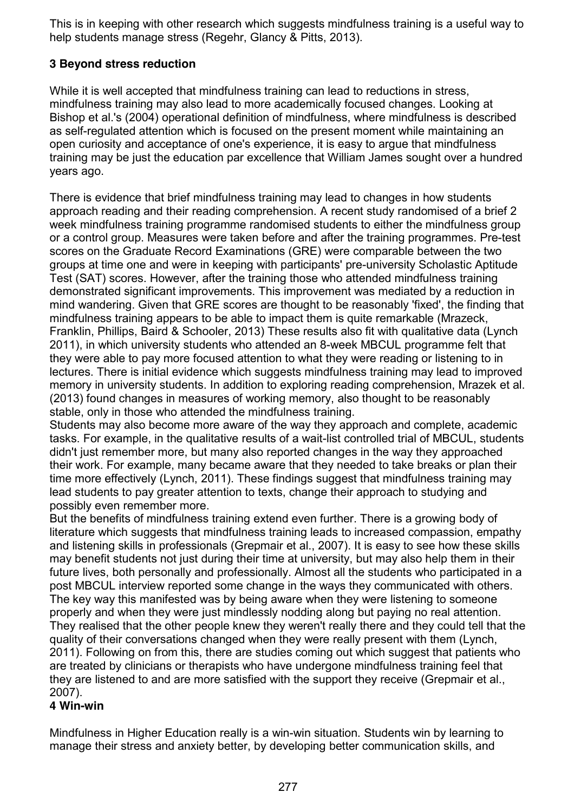This is in keeping with other research which suggests mindfulness training is a useful way to help students manage stress (Regehr, Glancy & Pitts, 2013).

#### **3 Beyond stress reduction**

While it is well accepted that mindfulness training can lead to reductions in stress, mindfulness training may also lead to more academically focused changes. Looking at Bishop et al.'s (2004) operational definition of mindfulness, where mindfulness is described as self-regulated attention which is focused on the present moment while maintaining an open curiosity and acceptance of one's experience, it is easy to argue that mindfulness training may be just the education par excellence that William James sought over a hundred years ago.

There is evidence that brief mindfulness training may lead to changes in how students approach reading and their reading comprehension. A recent study randomised of a brief 2 week mindfulness training programme randomised students to either the mindfulness group or a control group. Measures were taken before and after the training programmes. Pre-test scores on the Graduate Record Examinations (GRE) were comparable between the two groups at time one and were in keeping with participants' pre-university Scholastic Aptitude Test (SAT) scores. However, after the training those who attended mindfulness training demonstrated significant improvements. This improvement was mediated by a reduction in mind wandering. Given that GRE scores are thought to be reasonably 'fixed', the finding that mindfulness training appears to be able to impact them is quite remarkable (Mrazeck, Franklin, Phillips, Baird & Schooler, 2013) These results also fit with qualitative data (Lynch 2011), in which university students who attended an 8-week MBCUL programme felt that they were able to pay more focused attention to what they were reading or listening to in lectures. There is initial evidence which suggests mindfulness training may lead to improved memory in university students. In addition to exploring reading comprehension, Mrazek et al. (2013) found changes in measures of working memory, also thought to be reasonably stable, only in those who attended the mindfulness training.

Students may also become more aware of the way they approach and complete, academic tasks. For example, in the qualitative results of a wait-list controlled trial of MBCUL, students didn't just remember more, but many also reported changes in the way they approached their work. For example, many became aware that they needed to take breaks or plan their time more effectively (Lynch, 2011). These findings suggest that mindfulness training may lead students to pay greater attention to texts, change their approach to studying and possibly even remember more.

But the benefits of mindfulness training extend even further. There is a growing body of literature which suggests that mindfulness training leads to increased compassion, empathy and listening skills in professionals (Grepmair et al., 2007). It is easy to see how these skills may benefit students not just during their time at university, but may also help them in their future lives, both personally and professionally. Almost all the students who participated in a post MBCUL interview reported some change in the ways they communicated with others. The key way this manifested was by being aware when they were listening to someone properly and when they were just mindlessly nodding along but paying no real attention. They realised that the other people knew they weren't really there and they could tell that the quality of their conversations changed when they were really present with them (Lynch, 2011). Following on from this, there are studies coming out which suggest that patients who are treated by clinicians or therapists who have undergone mindfulness training feel that they are listened to and are more satisfied with the support they receive (Grepmair et al., 2007).

#### **4 Win-win**

Mindfulness in Higher Education really is a win-win situation. Students win by learning to manage their stress and anxiety better, by developing better communication skills, and